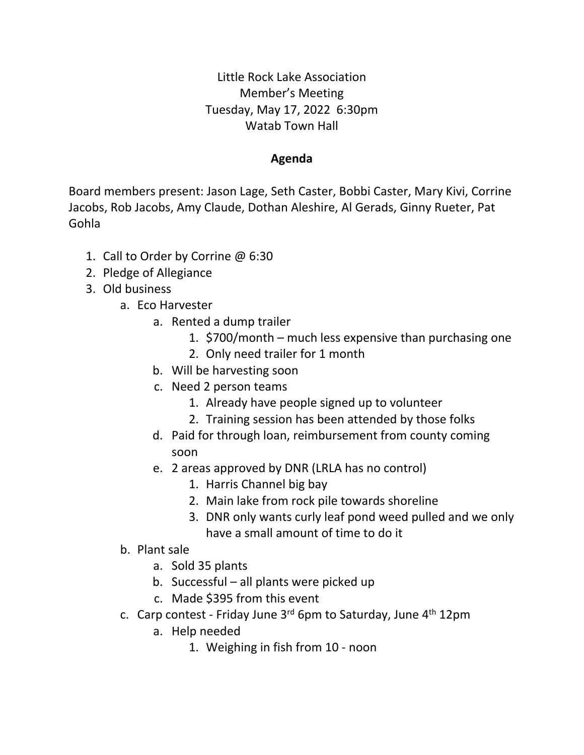Little Rock Lake Association Member's Meeting Tuesday, May 17, 2022 6:30pm Watab Town Hall

## **Agenda**

Board members present: Jason Lage, Seth Caster, Bobbi Caster, Mary Kivi, Corrine Jacobs, Rob Jacobs, Amy Claude, Dothan Aleshire, Al Gerads, Ginny Rueter, Pat Gohla

- 1. Call to Order by Corrine @ 6:30
- 2. Pledge of Allegiance
- 3. Old business
	- a. Eco Harvester
		- a. Rented a dump trailer
			- 1. \$700/month much less expensive than purchasing one
			- 2. Only need trailer for 1 month
		- b. Will be harvesting soon
		- c. Need 2 person teams
			- 1. Already have people signed up to volunteer
			- 2. Training session has been attended by those folks
		- d. Paid for through loan, reimbursement from county coming soon
		- e. 2 areas approved by DNR (LRLA has no control)
			- 1. Harris Channel big bay
			- 2. Main lake from rock pile towards shoreline
			- 3. DNR only wants curly leaf pond weed pulled and we only have a small amount of time to do it
	- b. Plant sale
		- a. Sold 35 plants
		- b. Successful all plants were picked up
		- c. Made \$395 from this event
	- c. Carp contest Friday June  $3<sup>rd</sup>$  6pm to Saturday, June  $4<sup>th</sup>$  12pm
		- a. Help needed
			- 1. Weighing in fish from 10 noon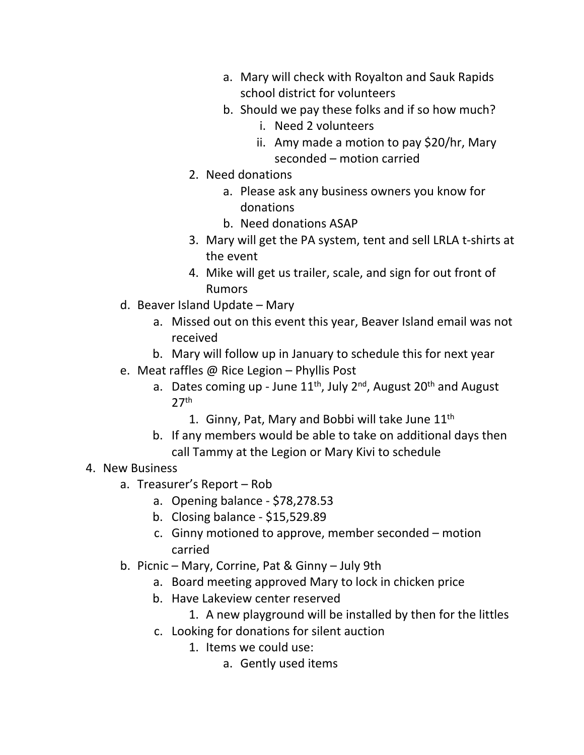- a. Mary will check with Royalton and Sauk Rapids school district for volunteers
- b. Should we pay these folks and if so how much?
	- i. Need 2 volunteers
	- ii. Amy made a motion to pay \$20/hr, Mary seconded – motion carried
- 2. Need donations
	- a. Please ask any business owners you know for donations
	- b. Need donations ASAP
- 3. Mary will get the PA system, tent and sell LRLA t-shirts at the event
- 4. Mike will get us trailer, scale, and sign for out front of Rumors
- d. Beaver Island Update Mary
	- a. Missed out on this event this year, Beaver Island email was not received
	- b. Mary will follow up in January to schedule this for next year
- e. Meat raffles @ Rice Legion Phyllis Post
	- a. Dates coming up June  $11^{th}$ , July  $2^{nd}$ , August  $20^{th}$  and August 27th
		- 1. Ginny, Pat, Mary and Bobbi will take June  $11<sup>th</sup>$
	- b. If any members would be able to take on additional days then call Tammy at the Legion or Mary Kivi to schedule

## 4. New Business

- a. Treasurer's Report Rob
	- a. Opening balance \$78,278.53
	- b. Closing balance \$15,529.89
	- c. Ginny motioned to approve, member seconded motion carried
- b. Picnic Mary, Corrine, Pat & Ginny July 9th
	- a. Board meeting approved Mary to lock in chicken price
	- b. Have Lakeview center reserved
		- 1. A new playground will be installed by then for the littles
	- c. Looking for donations for silent auction
		- 1. Items we could use:
			- a. Gently used items